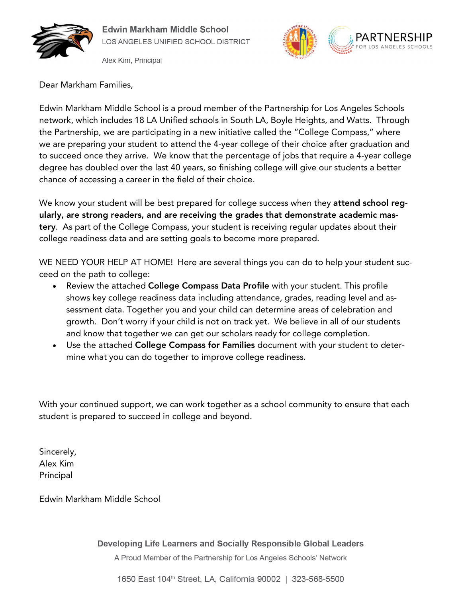

Alex Kim, Principal



Dear Markham Families,

Edwin Markham Middle School is a proud member of the Partnership for Los Angeles Schools network, which includes 18 LA Unified schools in South LA, Boyle Heights, and Watts. Through the Partnership, we are participating in a new initiative called the "College Compass," where we are preparing your student to attend the 4-year college of their choice after graduation and to succeed once they arrive. We know that the percentage of jobs that require a 4-year college degree has doubled over the last 40 years, so finishing college will give our students a better chance of accessing a career in the field of their choice.

We know your student will be best prepared for college success when they attend school regularly, are strong readers, and are receiving the grades that demonstrate academic mastery. As part of the College Compass, your student is receiving regular updates about their college readiness data and are setting goals to become more prepared.

WE NEED YOUR HELP AT HOME! Here are several things you can do to help your student succeed on the path to college:

- Review the attached College Compass Data Profile with your student. This profile shows key college readiness data including attendance, grades, reading level and assessment data. Together you and your child can determine areas of celebration and growth. Don't worry if your child is not on track yet. We believe in all of our students and know that together we can get our scholars ready for college completion.
- Use the attached College Compass for Families document with your student to determine what you can do together to improve college readiness.

With your continued support, we can work together as a school community to ensure that each student is prepared to succeed in college and beyond.

Sincerely, Alex Kim Principal

Edwin Markham Middle School

## Developing Life Learners and Socially Responsible Global Leaders

A Proud Member of the Partnership for Los Angeles Schools' Network